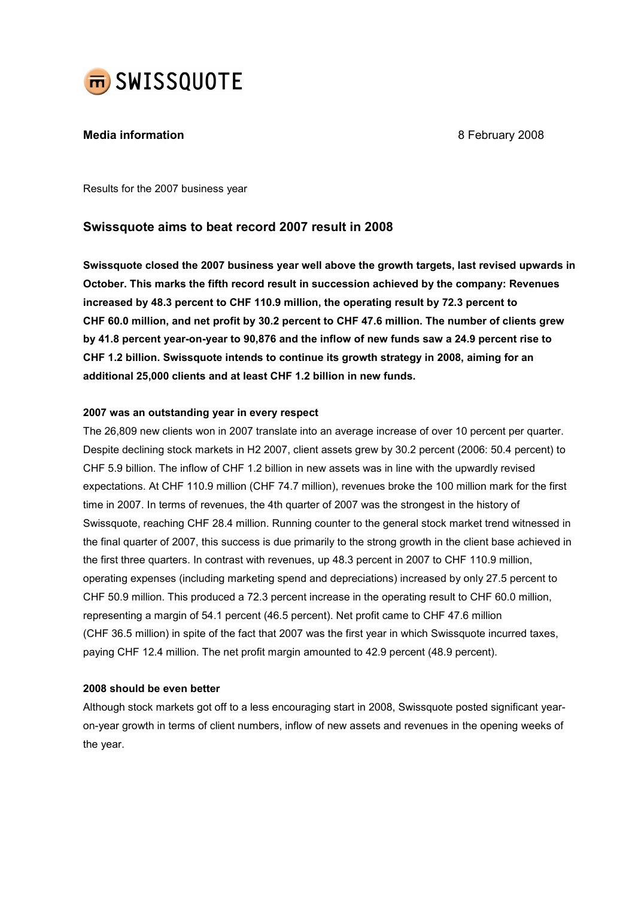

# **Media information Media information 1997 1998 1998 1998 1998 1998 1998 1998 1998 1998 1999 1999 1999 1999 1999 1999 1999 1999 1999 1999 1999 1999 1999 1999 1999 1999**

Results for the 2007 business year

# Swissquote aims to beat record 2007 result in 2008

Swissquote closed the 2007 business year well above the growth targets, last revised upwards in October. This marks the fifth record result in succession achieved by the company: Revenues increased by 48.3 percent to CHF 110.9 million, the operating result by 72.3 percent to CHF 60.0 million, and net profit by 30.2 percent to CHF 47.6 million. The number of clients grew by 41.8 percent year-on-year to 90,876 and the inflow of new funds saw a 24.9 percent rise to CHF 1.2 billion. Swissquote intends to continue its growth strategy in 2008, aiming for an additional 25,000 clients and at least CHF 1.2 billion in new funds.

### 2007 was an outstanding year in every respect

The 26,809 new clients won in 2007 translate into an average increase of over 10 percent per quarter. Despite declining stock markets in H2 2007, client assets grew by 30.2 percent (2006: 50.4 percent) to CHF 5.9 billion. The inflow of CHF 1.2 billion in new assets was in line with the upwardly revised expectations. At CHF 110.9 million (CHF 74.7 million), revenues broke the 100 million mark for the first time in 2007. In terms of revenues, the 4th quarter of 2007 was the strongest in the history of Swissquote, reaching CHF 28.4 million. Running counter to the general stock market trend witnessed in the final quarter of 2007, this success is due primarily to the strong growth in the client base achieved in the first three quarters. In contrast with revenues, up 48.3 percent in 2007 to CHF 110.9 million, operating expenses (including marketing spend and depreciations) increased by only 27.5 percent to CHF 50.9 million. This produced a 72.3 percent increase in the operating result to CHF 60.0 million, representing a margin of 54.1 percent (46.5 percent). Net profit came to CHF 47.6 million (CHF 36.5 million) in spite of the fact that 2007 was the first year in which Swissquote incurred taxes, paying CHF 12.4 million. The net profit margin amounted to 42.9 percent (48.9 percent).

## 2008 should be even better

Although stock markets got off to a less encouraging start in 2008, Swissquote posted significant yearon-year growth in terms of client numbers, inflow of new assets and revenues in the opening weeks of the year.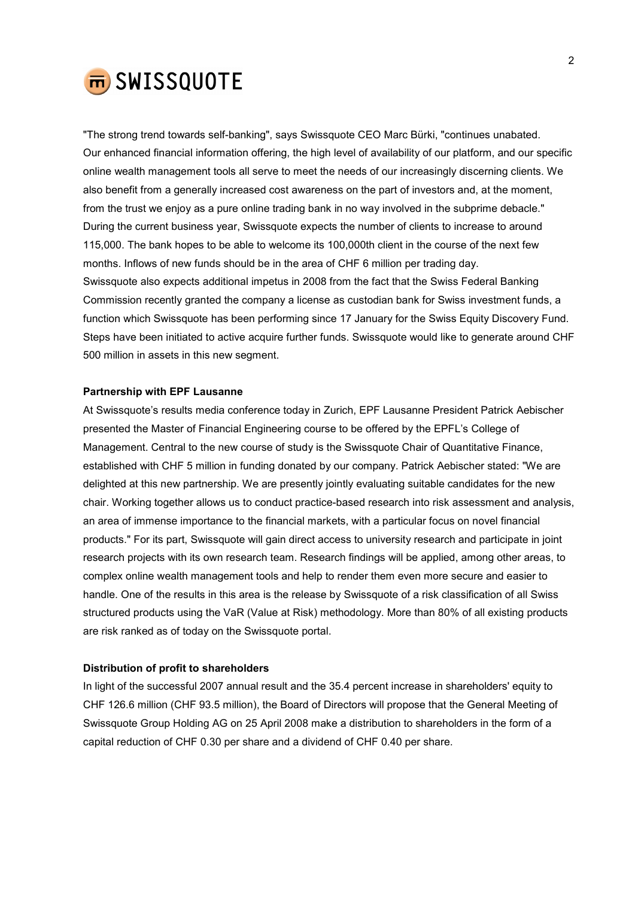

"The strong trend towards self-banking", says Swissquote CEO Marc Bürki, "continues unabated. Our enhanced financial information offering, the high level of availability of our platform, and our specific online wealth management tools all serve to meet the needs of our increasingly discerning clients. We also benefit from a generally increased cost awareness on the part of investors and, at the moment, from the trust we enjoy as a pure online trading bank in no way involved in the subprime debacle." During the current business year, Swissquote expects the number of clients to increase to around 115,000. The bank hopes to be able to welcome its 100,000th client in the course of the next few months. Inflows of new funds should be in the area of CHF 6 million per trading day. Swissquote also expects additional impetus in 2008 from the fact that the Swiss Federal Banking Commission recently granted the company a license as custodian bank for Swiss investment funds, a function which Swissquote has been performing since 17 January for the Swiss Equity Discovery Fund. Steps have been initiated to active acquire further funds. Swissquote would like to generate around CHF 500 million in assets in this new segment.

#### Partnership with EPF Lausanne

At Swissquote's results media conference today in Zurich, EPF Lausanne President Patrick Aebischer presented the Master of Financial Engineering course to be offered by the EPFL's College of Management. Central to the new course of study is the Swissquote Chair of Quantitative Finance, established with CHF 5 million in funding donated by our company. Patrick Aebischer stated: "We are delighted at this new partnership. We are presently jointly evaluating suitable candidates for the new chair. Working together allows us to conduct practice-based research into risk assessment and analysis, an area of immense importance to the financial markets, with a particular focus on novel financial products." For its part, Swissquote will gain direct access to university research and participate in joint research projects with its own research team. Research findings will be applied, among other areas, to complex online wealth management tools and help to render them even more secure and easier to handle. One of the results in this area is the release by Swissquote of a risk classification of all Swiss structured products using the VaR (Value at Risk) methodology. More than 80% of all existing products are risk ranked as of today on the Swissquote portal.

#### Distribution of profit to shareholders

In light of the successful 2007 annual result and the 35.4 percent increase in shareholders' equity to CHF 126.6 million (CHF 93.5 million), the Board of Directors will propose that the General Meeting of Swissquote Group Holding AG on 25 April 2008 make a distribution to shareholders in the form of a capital reduction of CHF 0.30 per share and a dividend of CHF 0.40 per share.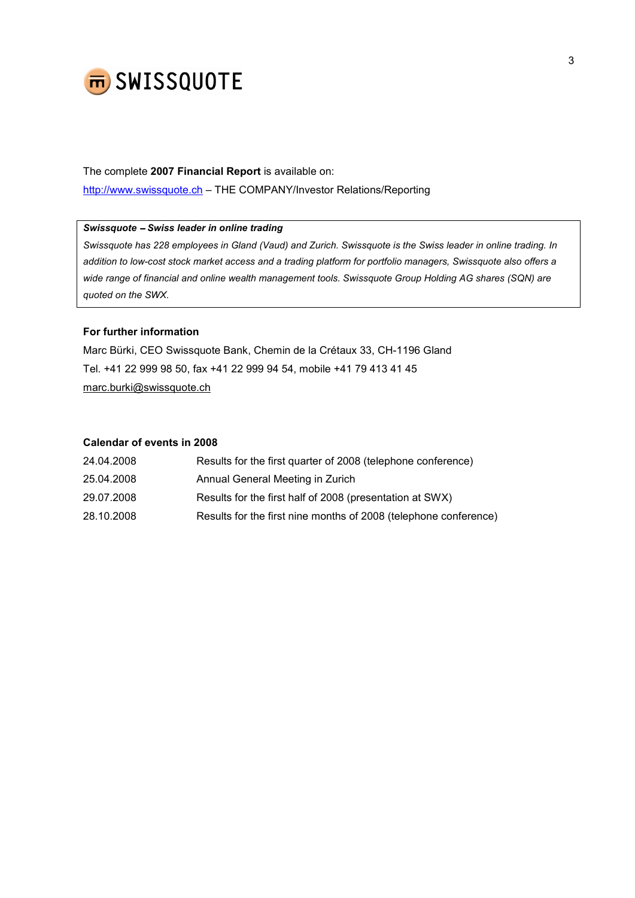

# The complete 2007 Financial Report is available on: http://www.swissquote.ch – THE COMPANY/Investor Relations/Reporting

## Swissquote − Swiss leader in online trading

Swissquote has 228 employees in Gland (Vaud) and Zurich. Swissquote is the Swiss leader in online trading. In addition to low-cost stock market access and a trading platform for portfolio managers, Swissquote also offers a wide range of financial and online wealth management tools. Swissquote Group Holding AG shares (SQN) are quoted on the SWX.

### For further information

Marc Bürki, CEO Swissquote Bank, Chemin de la Crétaux 33, CH-1196 Gland Tel. +41 22 999 98 50, fax +41 22 999 94 54, mobile +41 79 413 41 45 marc.burki@swissquote.ch

### Calendar of events in 2008

| 24.04.2008 | Results for the first quarter of 2008 (telephone conference)     |
|------------|------------------------------------------------------------------|
| 25.04.2008 | Annual General Meeting in Zurich                                 |
| 29.07.2008 | Results for the first half of 2008 (presentation at SWX)         |
| 28.10.2008 | Results for the first nine months of 2008 (telephone conference) |